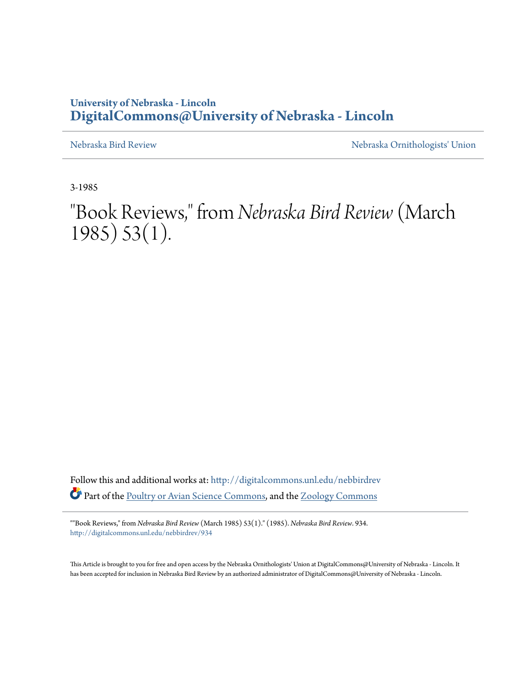## **University of Nebraska - Lincoln [DigitalCommons@University of Nebraska - Lincoln](http://digitalcommons.unl.edu?utm_source=digitalcommons.unl.edu%2Fnebbirdrev%2F934&utm_medium=PDF&utm_campaign=PDFCoverPages)**

[Nebraska Bird Review](http://digitalcommons.unl.edu/nebbirdrev?utm_source=digitalcommons.unl.edu%2Fnebbirdrev%2F934&utm_medium=PDF&utm_campaign=PDFCoverPages) [Nebraska Ornithologists' Union](http://digitalcommons.unl.edu/nebornithologists?utm_source=digitalcommons.unl.edu%2Fnebbirdrev%2F934&utm_medium=PDF&utm_campaign=PDFCoverPages)

3-1985

"Book Reviews," from *Nebraska Bird Review* (March 1985) 53(1).

Follow this and additional works at: [http://digitalcommons.unl.edu/nebbirdrev](http://digitalcommons.unl.edu/nebbirdrev?utm_source=digitalcommons.unl.edu%2Fnebbirdrev%2F934&utm_medium=PDF&utm_campaign=PDFCoverPages) Part of the [Poultry or Avian Science Commons](http://network.bepress.com/hgg/discipline/80?utm_source=digitalcommons.unl.edu%2Fnebbirdrev%2F934&utm_medium=PDF&utm_campaign=PDFCoverPages), and the [Zoology Commons](http://network.bepress.com/hgg/discipline/81?utm_source=digitalcommons.unl.edu%2Fnebbirdrev%2F934&utm_medium=PDF&utm_campaign=PDFCoverPages)

""Book Reviews," from *Nebraska Bird Review* (March 1985) 53(1)." (1985). *Nebraska Bird Review*. 934. [http://digitalcommons.unl.edu/nebbirdrev/934](http://digitalcommons.unl.edu/nebbirdrev/934?utm_source=digitalcommons.unl.edu%2Fnebbirdrev%2F934&utm_medium=PDF&utm_campaign=PDFCoverPages)

This Article is brought to you for free and open access by the Nebraska Ornithologists' Union at DigitalCommons@University of Nebraska - Lincoln. It has been accepted for inclusion in Nebraska Bird Review by an authorized administrator of DigitalCommons@University of Nebraska - Lincoln.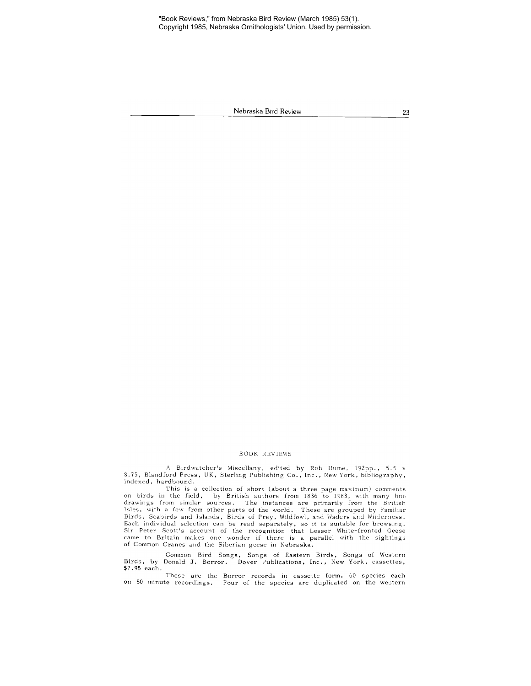"Book Reviews," from Nebraska Bird Review (March 1985) 53(1). Copyright 1985, Nebraska Ornithologists' Union. Used by permission.

Nebraska **Bird** Review

23

## BOOK REVIEWS

A Birdwatcher's Miscellany, edited by Rob Hume, 192pp" 5.5 x 8.75, Blandford Press, UK, Sterling Publishing Co., Inc., New York, bibliography, indexed, hardbound.

This is a collection of short (about a three page maximum) comments on birds in the field, by British authors from 1836 to 1983, with many line drawings from similar sources. The instances are primarily from the British<br>Isles, with a few from other parts of the world. These are grouped by Familiar Birds, Seabirds and Islands, Birds of Prey, Wildfowl, and Ivaders and Wilderness. **Each individual selection can be read separately, so it is suitable for browsing.** Sir Peter Scott's account of the recognition that Lesser White-fronted Geese came to Britain makes one wonder if there is a parallel with the sightings of Common Cranes and the Siberian geese in Nebraska.

Common Bird Songs, Songs of Eastern Birds, Songs of Western **Birds, by Donald J. Borror. Dover Publications, Inc., New York, cassettes,** \$7.95 each.

These are the **Borror records in cassette form <sup>J</sup> 60 species each on 50 minute recordings.** Four of the species are duplicated on the western